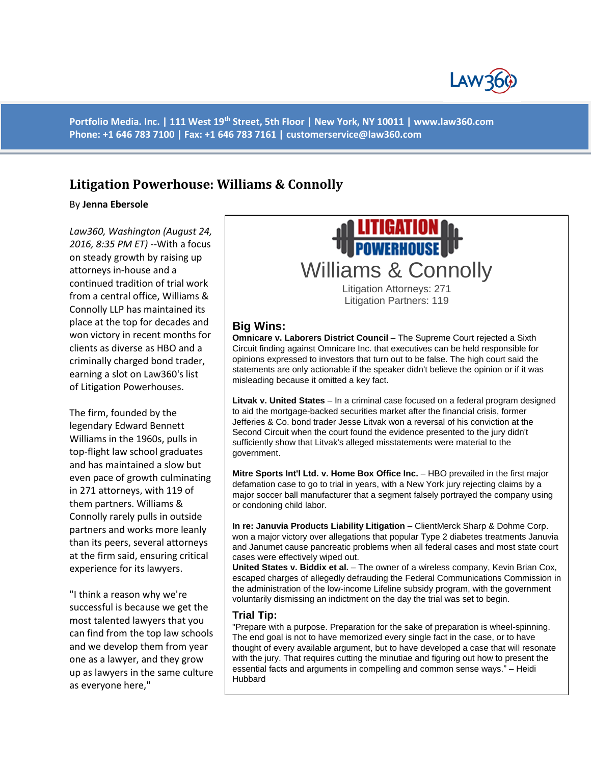

**Portfolio Media. Inc. | 111 West 19th Street, 5th Floor | New York, NY 10011 | www.law360.com Phone: +1 646 783 7100 | Fax: +1 646 783 7161 | customerservice@law360.com**

## **Litigation Powerhouse: Williams & Connolly**

By **Jenna Ebersole**

*Law360, Washington (August 24, 2016, 8:35 PM ET)* --With a focus on steady growth by raising up attorneys in-house and a continued tradition of trial work from a central office, Williams & Connolly LLP has maintained its place at the top for decades and won victory in recent months for clients as diverse as HBO and a criminally charged bond trader, earning a slot on Law360's list of Litigation Powerhouses.

The firm, founded by the legendary Edward Bennett Williams in the 1960s, pulls in top-flight law school graduates and has maintained a slow but even pace of growth culminating in 271 attorneys, with 119 of them partners. Williams & Connolly rarely pulls in outside partners and works more leanly than its peers, several attorneys at the firm said, ensuring critical experience for its lawyers.

"I think a reason why we're successful is because we get the most talented lawyers that you can find from the top law schools and we develop them from year one as a lawyer, and they grow up as lawyers in the same culture as everyone here,"



Litigation Attorneys: 271 Litigation Partners: 119

## **Big Wins:**

**Omnicare v. Laborers District Council** – The Supreme Court rejected a Sixth Circuit finding against Omnicare Inc. that executives can be held responsible for opinions expressed to investors that turn out to be false. The high court said the statements are only actionable if the speaker didn't believe the opinion or if it was misleading because it omitted a key fact.

**Litvak v. United States** – In a criminal case focused on a federal program designed to aid the mortgage-backed securities market after the financial crisis, former Jefferies & Co. bond trader Jesse Litvak won a reversal of his conviction at the Second Circuit when the court found the evidence presented to the jury didn't sufficiently show that Litvak's alleged misstatements were material to the government.

**Mitre Sports Int'l Ltd. v. Home Box Office Inc.** – HBO prevailed in the first major defamation case to go to trial in years, with a New York jury rejecting claims by a major soccer ball manufacturer that a segment falsely portrayed the company using or condoning child labor.

**In re: Januvia Products Liability Litigation** – ClientMerck Sharp & Dohme Corp. won a major victory over allegations that popular Type 2 diabetes treatments Januvia and Janumet cause pancreatic problems when all federal cases and most state court cases were effectively wiped out.

**United States v. Biddix et al.** – The owner of a wireless company, Kevin Brian Cox, escaped charges of allegedly defrauding the Federal Communications Commission in the administration of the low-income Lifeline subsidy program, with the government voluntarily dismissing an indictment on the day the trial was set to begin.

## **Trial Tip:**

"Prepare with a purpose. Preparation for the sake of preparation is wheel-spinning. The end goal is not to have memorized every single fact in the case, or to have thought of every available argument, but to have developed a case that will resonate with the jury. That requires cutting the minutiae and figuring out how to present the essential facts and arguments in compelling and common sense ways." – Heidi Hubbard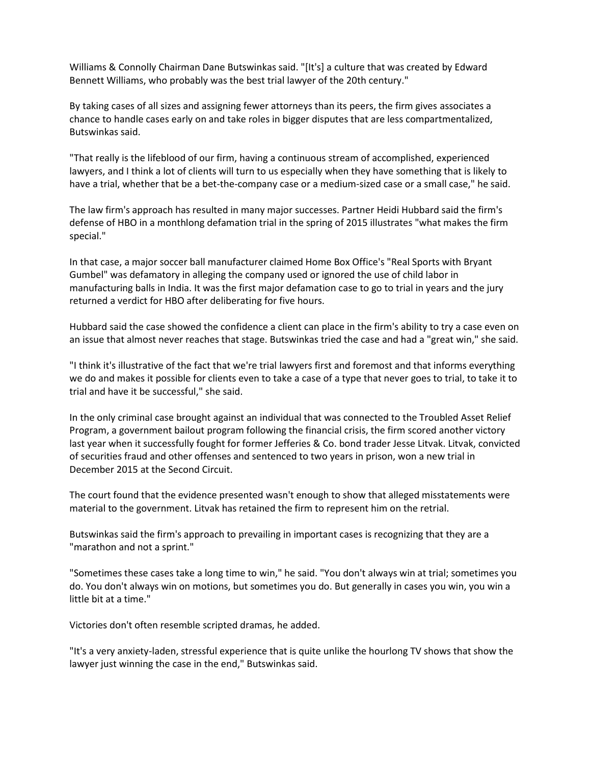Williams & Connolly Chairman Dane Butswinkas said. "[It's] a culture that was created by Edward Bennett Williams, who probably was the best trial lawyer of the 20th century."

By taking cases of all sizes and assigning fewer attorneys than its peers, the firm gives associates a chance to handle cases early on and take roles in bigger disputes that are less compartmentalized, Butswinkas said.

"That really is the lifeblood of our firm, having a continuous stream of accomplished, experienced lawyers, and I think a lot of clients will turn to us especially when they have something that is likely to have a trial, whether that be a bet-the-company case or a medium-sized case or a small case," he said.

The law firm's approach has resulted in many major successes. Partner Heidi Hubbard said the firm's defense of HBO in a monthlong defamation trial in the spring of 2015 illustrates "what makes the firm special."

In that case, a major soccer ball manufacturer claimed Home Box Office's "Real Sports with Bryant Gumbel" was defamatory in alleging the company used or ignored the use of child labor in manufacturing balls in India. It was the first major defamation case to go to trial in years and the jury returned a verdict for HBO after deliberating for five hours.

Hubbard said the case showed the confidence a client can place in the firm's ability to try a case even on an issue that almost never reaches that stage. Butswinkas tried the case and had a "great win," she said.

"I think it's illustrative of the fact that we're trial lawyers first and foremost and that informs everything we do and makes it possible for clients even to take a case of a type that never goes to trial, to take it to trial and have it be successful," she said.

In the only criminal case brought against an individual that was connected to the Troubled Asset Relief Program, a government bailout program following the financial crisis, the firm scored another victory last year when it successfully fought for former Jefferies & Co. bond trader Jesse Litvak. Litvak, convicted of securities fraud and other offenses and sentenced to two years in prison, won a new trial in December 2015 at the Second Circuit.

The court found that the evidence presented wasn't enough to show that alleged misstatements were material to the government. Litvak has retained the firm to represent him on the retrial.

Butswinkas said the firm's approach to prevailing in important cases is recognizing that they are a "marathon and not a sprint."

"Sometimes these cases take a long time to win," he said. "You don't always win at trial; sometimes you do. You don't always win on motions, but sometimes you do. But generally in cases you win, you win a little bit at a time."

Victories don't often resemble scripted dramas, he added.

"It's a very anxiety-laden, stressful experience that is quite unlike the hourlong TV shows that show the lawyer just winning the case in the end," Butswinkas said.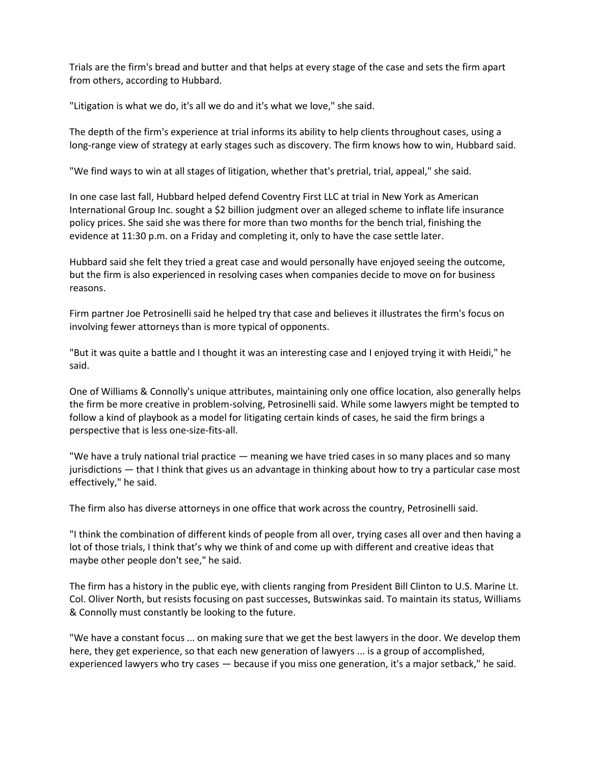Trials are the firm's bread and butter and that helps at every stage of the case and sets the firm apart from others, according to Hubbard.

"Litigation is what we do, it's all we do and it's what we love," she said.

The depth of the firm's experience at trial informs its ability to help clients throughout cases, using a long-range view of strategy at early stages such as discovery. The firm knows how to win, Hubbard said.

"We find ways to win at all stages of litigation, whether that's pretrial, trial, appeal," she said.

In one case last fall, Hubbard helped defend Coventry First LLC at trial in New York as American International Group Inc. sought a \$2 billion judgment over an alleged scheme to inflate life insurance policy prices. She said she was there for more than two months for the bench trial, finishing the evidence at 11:30 p.m. on a Friday and completing it, only to have the case settle later.

Hubbard said she felt they tried a great case and would personally have enjoyed seeing the outcome, but the firm is also experienced in resolving cases when companies decide to move on for business reasons.

Firm partner Joe Petrosinelli said he helped try that case and believes it illustrates the firm's focus on involving fewer attorneys than is more typical of opponents.

"But it was quite a battle and I thought it was an interesting case and I enjoyed trying it with Heidi," he said.

One of Williams & Connolly's unique attributes, maintaining only one office location, also generally helps the firm be more creative in problem-solving, Petrosinelli said. While some lawyers might be tempted to follow a kind of playbook as a model for litigating certain kinds of cases, he said the firm brings a perspective that is less one-size-fits-all.

"We have a truly national trial practice — meaning we have tried cases in so many places and so many jurisdictions — that I think that gives us an advantage in thinking about how to try a particular case most effectively," he said.

The firm also has diverse attorneys in one office that work across the country, Petrosinelli said.

"I think the combination of different kinds of people from all over, trying cases all over and then having a lot of those trials, I think that's why we think of and come up with different and creative ideas that maybe other people don't see," he said.

The firm has a history in the public eye, with clients ranging from President Bill Clinton to U.S. Marine Lt. Col. Oliver North, but resists focusing on past successes, Butswinkas said. To maintain its status, Williams & Connolly must constantly be looking to the future.

"We have a constant focus ... on making sure that we get the best lawyers in the door. We develop them here, they get experience, so that each new generation of lawyers ... is a group of accomplished, experienced lawyers who try cases — because if you miss one generation, it's a major setback," he said.